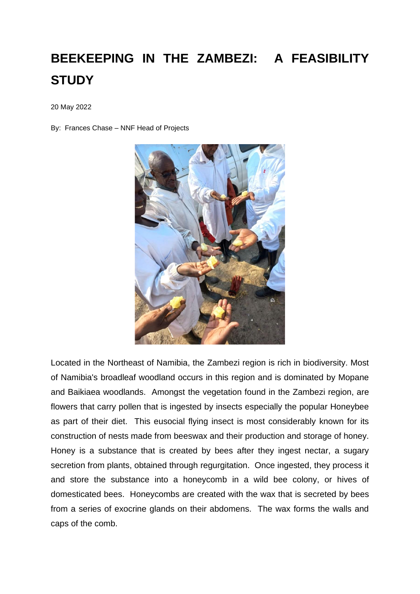## **BEEKEEPING IN THE ZAMBEZI: A FEASIBILITY STUDY**

20 May 2022

By: Frances Chase – NNF Head of Projects



Located in the Northeast of Namibia, the Zambezi region is rich in biodiversity. Most of Namibia's broadleaf woodland occurs in this region and is dominated by Mopane and Baikiaea woodlands. Amongst the vegetation found in the Zambezi region, are flowers that carry pollen that is ingested by insects especially the popular Honeybee as part of their diet. This eusocial flying insect is most considerably known for its construction of nests made from beeswax and their production and storage of honey. Honey is a substance that is created by bees after they ingest nectar, a sugary secretion from plants, obtained through regurgitation. Once ingested, they process it and store the substance into a honeycomb in a wild bee colony, or hives of domesticated bees. Honeycombs are created with the wax that is secreted by bees from a series of exocrine glands on their abdomens. The wax forms the walls and caps of the comb.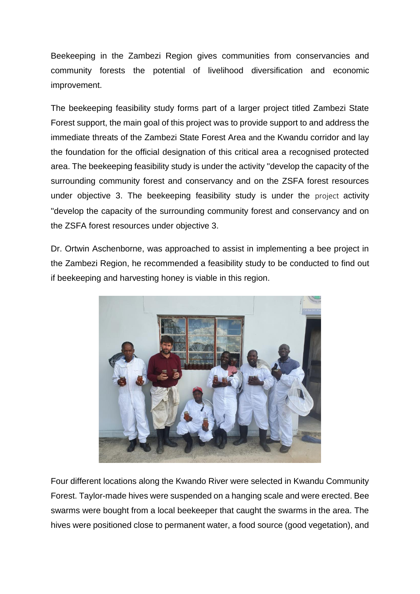Beekeeping in the Zambezi Region gives communities from conservancies and community forests the potential of livelihood diversification and economic improvement.

The beekeeping feasibility study forms part of a larger project titled Zambezi State Forest support, the main goal of this project was to provide support to and address the immediate threats of the Zambezi State Forest Area and the Kwandu corridor and lay the foundation for the official designation of this critical area a recognised protected area. The beekeeping feasibility study is under the activity ''develop the capacity of the surrounding community forest and conservancy and on the ZSFA forest resources under objective 3. The beekeeping feasibility study is under the project activity ''develop the capacity of the surrounding community forest and conservancy and on the ZSFA forest resources under objective 3.

Dr. Ortwin Aschenborne, was approached to assist in implementing a bee project in the Zambezi Region, he recommended a feasibility study to be conducted to find out if beekeeping and harvesting honey is viable in this region.



Four different locations along the Kwando River were selected in Kwandu Community Forest. Taylor-made hives were suspended on a hanging scale and were erected. Bee swarms were bought from a local beekeeper that caught the swarms in the area. The hives were positioned close to permanent water, a food source (good vegetation), and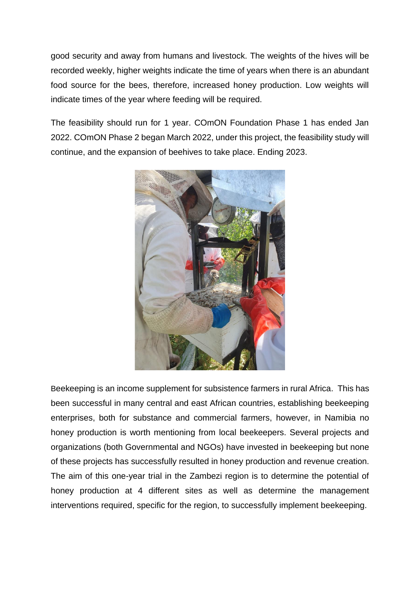good security and away from humans and livestock. The weights of the hives will be recorded weekly, higher weights indicate the time of years when there is an abundant food source for the bees, therefore, increased honey production. Low weights will indicate times of the year where feeding will be required.

The feasibility should run for 1 year. COmON Foundation Phase 1 has ended Jan 2022. COmON Phase 2 began March 2022, under this project, the feasibility study will continue, and the expansion of beehives to take place. Ending 2023.



Beekeeping is an income supplement for subsistence farmers in rural Africa. This has been successful in many central and east African countries, establishing beekeeping enterprises, both for substance and commercial farmers, however, in Namibia no honey production is worth mentioning from local beekeepers. Several projects and organizations (both Governmental and NGOs) have invested in beekeeping but none of these projects has successfully resulted in honey production and revenue creation. The aim of this one-year trial in the Zambezi region is to determine the potential of honey production at 4 different sites as well as determine the management interventions required, specific for the region, to successfully implement beekeeping.